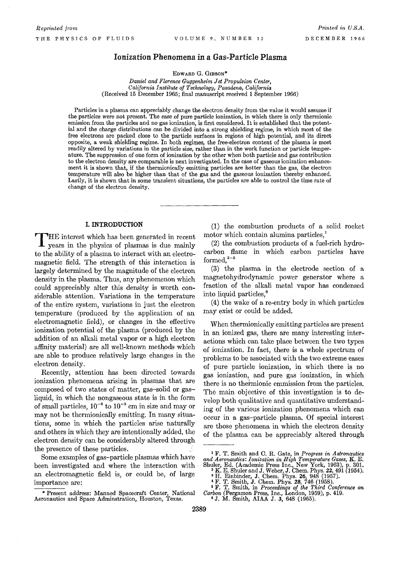# **Ionization Phenomena in a Gas-Particle Plasma**

EDWARD G. GIBSON\*

*Daniel and Florence Guggenheim Jet Propulsion Center, California Institute of Technology, Pasadena, California*  (Received 15 December 1965; final manuscript received 1 September 1966)

Particles in a plasma can appreciably change the electron density from the value it would assume if the particles were not present. The case of pure particle ionization, in which there is only thermionic emission from the particles and no gas ionization, is first considered. It is established that the potential and the charge distributions can be divided into a strong shielding regime, in which most of the free electrons are packed close to the particle surfaces in regions of high potential, and its direct opposite, a weak shielding regime. In both regimes, the free-electron content of the plasma is most readily altered by variations in the particle size, rather than in the work function or particle temperature. The suppression of one form of ionization by the other when both particle and gas contribution to the electron density are comparable is next investigated. In the case of gaseous ionization enhancement it is shown that, if the thermionically emitting particles are hotter than the gas, the electron temperature will also be higher than that of the gas and the gaseous ionization thereby enhanced. Lastly, it is shown that in some transient situations, the particles are able to control the time rate of change of the electron density.

# I. **INTRODUCTION**

THE interest which has been generated in recent years in the physics of plasmas is due mainly to the ability of a plasma to interact with an electromagnetic field. The strength of this interaction is largely determined by the magnitude of the electron density in the plasma. Thus, any phenomenon which could appreciably alter this density is worth considerable attention. Variations in the temperature of the entire system, variations in just the electron temperature (produced by the application of an electromagnetic field), or changes in the effective ionization potential of the plasma (produced by the addition of an alkali metal vapor or a high electron affinity material) are all well-known methods which are able to produce relatively large changes in the electron density.

Recently, attention has been directed towards ionization phenomena arising in plasmas that are composed of two states of matter, gas-solid or gasliquid, in which the nongaseous state is in the form of small particles,  $10^{-6}$  to  $10^{-3}$  cm in size and may or may not be thermionically emitting. In many situations, some in which the particles arise naturally and others in which they are intentionally added, the electron density can be considerably altered through the presence of these particles.

Some examples of gas-particle plasmas which have been investigated and where the interaction with an electromagnetic field is, or could be, of large importance are:

(1) the combustion products of a solid rocket motor which contain alumina particles,<sup>1</sup>

(2) the combustion products of a fuel-rich hydrocarbon flame in which carbon particles have formed, $2-5$ 

(3) the plasma in the electrode section of a magnetohydrodynamic power generator where a fraction of the alkali metal vapor has condensed into liquid particles,6

(4) the wake of a re-entry body in which particles may exist or could be added.

When thermionically emitting particles are present in an ionized gas, there are many interesting interactions which can take place between the two types of ionization. In fact, there is a whole spectrum of problems to be associated with the two extreme cases of pure particle ionization, in which there is no gas ionization, and pure gas ionization, in which there is no thermionic emmission from the particles. The main objective of this investigation is to develop both qualitative and quantitative understanding of the various ionization phenomena which can occur in a gas-particle plasma. Of special interest are those phenomena in which the electron density of the plasma can be appreciably altered through

<sup>\*</sup> Present address: Manned Spacecraft Center, National Aeronautics and Space Adminstration, Houston, Texas.

<sup>1</sup> F. T. Smith and C. R. Gatz, in *Progress in Astronautics and Aeronautics: Ionization in High Temperature Gases,* K. E.

Shuler, Ed. (Academic Press Inc., New York, 1963), p. 301.<br>
<sup>2</sup> K. E. Shuler and J. Weber, J. Chem. Phys. 22, 491 (1954).<br>
<sup>3</sup> H. Einbinder, J. Chem. Phys. 26, 948 (1957).<br>
<sup>4</sup> F. T. Smith, J. Chem. Phys. 28, 746 (1958).<br>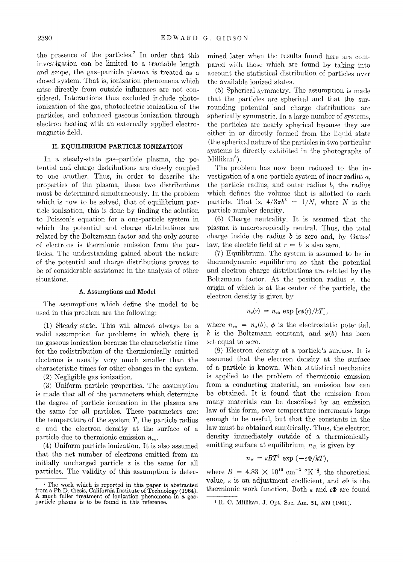the presence of the particles.<sup>7</sup> In order that this investigation can be limited to a tractable length and scope, the gas-particle plasma is treated as a dosed system. That is, ionization phenomena which arise directly from outside influences are not considered. Interactions thus excluded include photoionization of the gas, photoelectric ionization of the particles, and enhanced gaseous ionization through electron heating with an externally applied electromagnetic field.

# **II. EQUILIBRIUM PARTICLE IONIZATION**

In a steady-state gas-particle plasma, the potential and charge distributions arc closely coupled to one another. Thus, in order to describe the properties of the plasma, these two distributions must be determined simultaneously. In the problem which is now to be solved, that of equilibrium particle ionization, this is done by finding the solution to Poisson's equation for a one-particle system in which the potential and charge distributions are related by the Boltzmann factor and the only source of electrons is thermionic emission from the particles. The understanding gained about the nature of the potential and charge distributions proves to be of considerable assistance in the analysis of other situations.

### A. Assumptions and Model

The assumptions which define the model to be used in this problem are the following:

(1) Steady state. This will almost always be a valid assumption for problems in which there is no gaseous ionization because the characteristic time for the redistribution of the thermionically emitted electrons is usually very much smaller than the characteristic times for other changes in the system.

(2) Negligible gas ionization.

(3) Uniform partide properties. The assumption is made that all of the parameters which determine the degree of particle ionization in the plasma are the same for all particles. These parameters are: the temperature of the system  $T$ , the particle radius *a,* and the electron density at the surface of a particle due to thermionic emission  $n_{\rm aa}$ .

(4) Uniform particle ionization. It is also assumed that the net number of electrons emitted from an initially uncharged particle *z* is the same for all particles. The validity of this assumption is determined later when the results found here are compared with those which arc found by taking into account the statistical distribution of particles over the available ionized states.

(5) Spherical symmetry. The assumption is made that the particles arc spherical and that the surrounding potential and charge distributions are spherically symmetric. In a large number of systems, the particles arc nearly spherical because they are either in or directly formed from the liquid state (the spherical nature of the particles in two particular systems is directly exhibited in the photographs of Millikan<sup>s</sup>).

The problem has now been reduced to the investigation of a one-particle system of inner radius *a,*  the particle radius, and outer radius  $b$ , the radius which defines the volume that is allotted to each particle. That is,  $4/3\pi b^3 = 1/N$ , where *N* is the particle number density.

(6) Charge neutrality. It is assumed that the plasma is macroscopically neutral. Thus, the total charge inside the radius *b* is zero and, by Gauss' law, the electric field at  $r = b$  is also zero.

(7) Equilibrium. The system is assumed to be in thermodynamic equilibrium so that the potential and electron charge distributions are related by the Boltzmann factor. At the position radius  $r$ , the origin of which is at the center of the particle, the electron density is given by

$$
n_e(r) = n_{eb} \exp [e\phi(r)/kT],
$$

where  $n_{eb} = n_e(b)$ ,  $\phi$  is the electrostatic potential, k is the Boltzmann constant, and  $\phi(b)$  has been set equal to zero.

(S) Electron density at a particle's surface. It is assumed that the electron density at the surface of a particle is known. When statistical mechanics is applied to the problem of thermionic emission from a conducting material, an emission law can be obtained. It is found that the emission from many materials can be described by an emission law of this form, over temperature increments large enough to be useful, but that the constants in the law must be obtained empirically. Thus, the electron density immediately outside of a thermionically emitting surface at equilibrium,  $n<sub>E</sub>$ , is given by

$$
n_E = \kappa B T^{\frac{3}{2}} \exp \left(-e \Phi / kT\right),
$$

where  $B = 4.83 \times 10^{15} \text{ cm}^{-3} \text{°K}^{-\frac{3}{2}}$ , the theoretical value,  $\kappa$  is an adjustment coefficient, and  $e\Phi$  is the thermionic work function. Both  $\kappa$  and  $e\Phi$  are found

<sup>7</sup> The work which is reported in this paper is abstracted from a Ph.D. thesis, California Institute of Technology (1964). A much fuller treatment of ionization phenomena in a gasparticle plasma is to be found in this reference.

<sup>8</sup> R. C. Millikan, J. Opt. Soc. Am. 51, 539 (1961).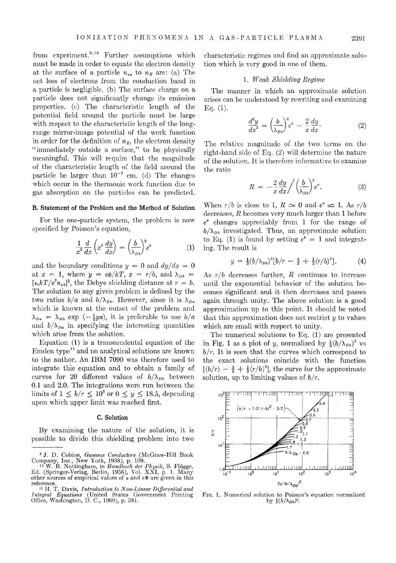from experiment.<sup>9,10</sup> Further assumptions which must be made in order to equate the electron density at the surface of a particle  $n_{\epsilon a}$  to  $n_E$  are: (a) The net loss of electrons from the conduction band in a particle is negligible. (b) The surface charge on a particle does not significantly change its emission properties. (c) The characteristic length of the potential field around the particle must be large with respect to the characteristic length of the longrange mirror-image potential of the work function in order for the definition of  $n<sub>E</sub>$ , the electron density "immediately outside a surface," to be physically meaningful. This will require that the magnitude of the characteristic length of the field around the particle be larger than  $10^{-7}$  cm. (d) The changes which occur in the thermonic work function due to gas absorption on the particles can be predicted.

#### B. Statement of the Problem and the Method of Solution

For the one-particle system, the problem is now specified by Poisson's equation,

$$
\frac{1}{x^2}\frac{d}{dx}\left(x^2\frac{dy}{dx}\right) = \left(\frac{b}{\lambda_{Db}}\right)^2 e^v \tag{1}
$$

and the boundary conditions  $y = 0$  and  $dy/dx = 0$ at  $x = 1$ , where  $y = e\phi/kT$ ,  $x = r/b$ , and  $\lambda_{Db}$  $[\epsilon_0 kT/e^2 n_{e b}]^3$ , the Debye shielding distance at  $r = b$ . The solution to any given problem is defined by the two ratios  $b/a$  and  $b/\lambda_{Db}$ . However, since it is  $\lambda_{Da}$ which is known at the outset of the problem and  $\lambda_{Da} = \lambda_{Db}$  exp  $\left(-\frac{1}{2}ya\right)$ , it is preferable to use  $b/a$ and  $b/\lambda_{pa}$  in specifying the interesting quantities which arise from the solution.

Equation (1) is a transcendental equation of the Emden type<sup>11</sup> and no analytical solutions are known to the author. An IBM 7090 was therefore used to integrate this equation and to obtain a family of curves for 20 different values of  $b/\lambda_{pb}$  between 0.1 and 2.0. The integrations were run between the limits of  $1 \leq b/r \leq 10^3$  or  $0 \leq y \leq 18.5$ , depending upon which upper limit was reached first.

#### c. Solution

By examining the nature of the solution, it is possible to divide this shielding problem into two

characteristic regimes and find an approximate solution which is very good in one of them.

#### 1. TV *eak Shielding Regime*

The manner in which an approximate solution arises can be understood by rewriting and examining Eq.  $(1)$ .

$$
\frac{d^2y}{dx^2} = \left(\frac{b}{\lambda_{Db}}\right)^2 e^y - \frac{2}{x}\frac{dy}{dx}.
$$
 (2)

The relative magnitude of the two terms on the right-hand side of Eq. (2) will determine the nature of the solution. It is therofore informative to examine the ratio

$$
R = -\frac{2}{x} \frac{dy}{dx} / \left(\frac{b}{\lambda_{Db}}\right)^2 e^v.
$$
 (3)

When  $r/b$  is close to 1,  $R \simeq 0$  and  $e^y \simeq 1$ . As  $r/b$ decreases, *R* becomes very much larger than 1 before *eY* changes appreciably from 1 for the range of  $b/\lambda_{\nu b}$  investigated. Thus, an approximate solution to Eq. (1) is found by setting  $e^y = 1$  and integrating. The result is

$$
y = \frac{1}{3}(b/\lambda_{Db})^2[b/r - \frac{3}{2} + \frac{1}{2}(r/b)^2]. \tag{4}
$$

As  $r/b$  decreases further,  $R$  continues to increase until the exponential behavior of the solution becomes significant and it then decreases and passes again through unity. The above solution is a good approximation up to this point. It should be noted that this approximation does not restrict *y* to values which are small with respect to unity.

The numerical solutions to Eq. (1) are presented in Fig. 1 as a plot of *y*, normalized by  $\frac{1}{3} (b/\lambda_{Db})^2$  vs  $b/r$ . It is seen that the curves which correspond to the exact solutions coincide with the function  $[(b/r) - \frac{3}{2} + \frac{1}{2}(r/b)^2]$ , the curve for the approximate solution, up to limiting values of  $b/r$ .



FIG. 1. Numerical solution to Poisson's equation normalized by  $\frac{1}{3} (b/\lambda_{Db})^2$ .

<sup>9</sup> J. D. Cobine, *Gaseous Conductors* (McGraw-Hill Book Company, Inc., New York, 1958), p. 109. 10 W. B. Nottingham, in *Handbuch der Physik,* S. Fliigge,

Ed. (Springer-Verlag, Berlin, 1956), Vol. XXI, p. 1. Many other sources of empirical values of  $\kappa$  and  $e\Phi$  are given in this

reference.<br>
<sup>11</sup> H. T. Davis, *Introduction to Non-Linear Differential and*<br> *Integral Equations* (United States Government Printing<br>
Office, Washington, D. C., 1960), p. 381.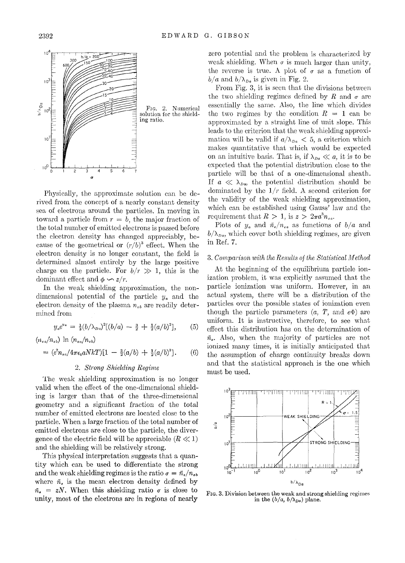

Physically, the approximate solution can be derived from the concept of a nearly constant density sea of electrons around the particles. In moving in toward a particle from  $r = b$ , the major fraction of the total number of emitted electrons is passed before the electron density has changed appreciably, because of the geometrical or  $(r/b)^3$  effect. When the electron density is no longer constant, the field is determined almost entirely by the large positive charge on the particle. For  $b/r \gg 1$ , this is the dominant effect and  $\phi \sim z/r$ .

In the weak shielding approximation, the nondimensional potential of the particle *Ya* and the electron density of the plasma  $n_{eb}$  are readily determined from

$$
y_{a}e^{y_{a}} = \frac{1}{3}(b/\lambda_{Da})^{2}[(b/a) - \frac{3}{2} + \frac{1}{2}(a/b)^{2}], \quad (5)
$$

 $(n_{ea}/n_{eb})$  **ln**  $(n_{ea}/n_{eb})$ 

$$
= (e^2 n_{ea}/4\pi \epsilon_0 aNkT)[1 - \frac{3}{2}(a/b) + \frac{1}{2}(a/b)^3]. \qquad (6)
$$

# *2. Strong Shielding Regime*

The weak shielding approximation is no longer valid when the effect of the one-dimensional shielding is larger than that of the three-dimensional geometry and a significant fraction of the total number of emitted electrons are located close to the particle. When a large fraction of the total number of emitted electrons are close to the particle, the divergence of the electric field will be appreciable  $(R \ll 1)$ and the shielding will be relatively strong.

This physical interpretation suggests that a quantity which can be used to differentiate the strong and the weak shielding regimes is the ratio  $\sigma = \bar{n}_e / n_{eb}$ where  $\bar{n}_e$  is the mean electron density defined by  $\bar{n}_e$  = *zN*. When this shielding ratio  $\sigma$  is close to unity, most of the electrons are in regions of nearly

zero potential and the problem is characterized by weak shielding. When  $\sigma$  is much larger than unity, the reverse is true. A plot of  $\sigma$  as a function of  $b/a$  and  $b/\lambda_{Da}$  is given in Fig. 2.

From Fig. 3, it is seen that the divisions between the two shielding regimes defined by R and  $\sigma$  are essentially the same. Also, the line which divides the two regimes by the condition  $R = 1$  can be approximated by a straight line of unit slope. This leads to the criterion that the weak shielding approximation will be valid if  $a/\lambda_{Da} < 5$ , a criterion which makes quantitative that which would be expected on an intuitive basis. That is, if  $\lambda_{Da} \ll a$ , it is to be expected that the potential distribution close to the particle will be that of a one-dimensional sheath. If  $a \ll \lambda_{Da}$ , the potential distribution should be dominated by the  $1/r$  field. A second criterion for the validity of the weak shielding approximation, which can be established using Gauss' law and the requirement that  $R > 1$ , is  $z > 2\pi a^3 n_e$ 

Plots of  $y_a$  and  $\tilde{n}_e/n_{ea}$  as functions of  $b/a$  and  $b/\lambda_{Da}$ , which cover both shielding regimes, are given in Ref. 7.

# 3. Comparison with the Results of the Statistical Method

At the beginning of the equilibrium particle ionization problem, it was explicitly assumed that the particle ionization was uniform. However, in an actual system, there will be a distribution of the particles over the possible states of ionization even though the particle parameters  $(a, T, \text{ and } e\Phi)$  are uniform. It is instructive, therefore, to see what effect this distribution has on the determination of  $\bar{n}_{e}$ . Also, when the majority of particles are not ionized many times, it is initially anticipated that the assumption of charge continuity breaks down and that the statistical approach is the one which must be used.



FIG. 3. Division between the weak and strong shielding regimes in the  $(b/a, b/\lambda_{Da})$  plane.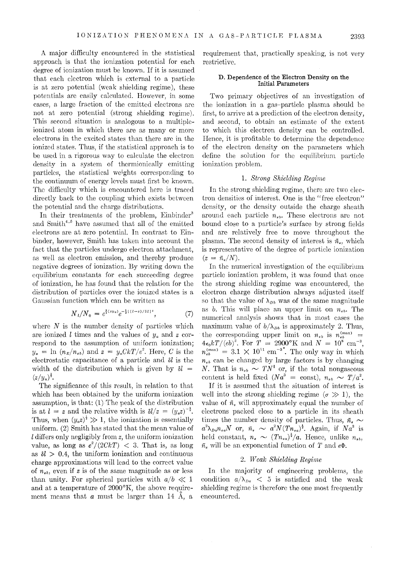A major difficulty encountered in the statistical approach is that the ionization potential for each degree of ionization must be known. If it is assumed that each electron which is external to a particle is at zero potential (weak shielding regime), these potentials are easily calculated. However, in some cases, a large fraction of the emitted electrons are not at zero potential (strong shielding regime). This second situation is analogous to a multipleionized atom in which there are as many or more electrons in the excited states than there are in the ionized states. Thus, if the statistical approach is to be used in a rigorous way to calculate the electron density in a system of thermionically emitting particles, the statistical weights corresponding to the continuum of energy levels must first be known. The difficulty which is encountered here is traced directly back to the coupling which exists between the potential and the charge distributions.

In their treatments of the problem, Einbinder<sup>3</sup> and Smith<sup>4,5</sup> have assumed that all of the emitted electrons are at zero potentiaL In contrast to Einbinder, however, Smith has taken into account the fact that the particles undergo electron attachment, as well as electron emission, and thereby produce negative degrees of ionization. By writing down the equilibrium constants for each succeeding degree of ionization, he has found that the relation for the distribution of particles over the ionized states is a Gaussian function which can be written as

$$
N_{\iota}/N_0 = e^{\frac{1}{2}(z y_a)} e^{-\frac{1}{2}[(l-z)/\delta l]^2}, \tag{7}
$$

where  $N$  is the number density of particles which are ionized l times and the values of  $y_a$  and z correspond to the assumption of uniform ionization;  $y_a = \ln (n_E/n_{eb})$  and  $z = y_a C kT/e^2$ . Here, *C* is the electrostatic capacitance of a particle and  $\delta l$  is the width of the distribution which is given by  $\delta l =$  $(z/y_a)^{\frac{1}{2}}$ .

The significance of this result, in relation to that which has been obtained by the uniform ionization assumption, is that: (1) The peak of the distribution is at  $l = z$  and the relative width is  $\delta l/z = (y_a z)^{-\frac{1}{2}}$ . Thus, when  $(y_a z)^{\dagger} \gg 1$ , the ionization is essentially uniform. (2) Smith has stated that the mean value of l differs only negligibly from *z,* the uniform ionization value, as long as  $e^2/(2CkT) < 3$ . That is, as long as  $\delta l > 0.4$ , the uniform ionization and continuous charge approximations will lead to the correct value of  $n_{eb}$ , even if z is of the same magnitude as or less than unity. For spherical particles with  $a/b \ll 1$ and at a temperature of  $2000$ °K, the above requirement means that  $a$  must be larger than 14  $\AA$ , a

requirement that, practically speaking, is not very restrictive.

## D. Dependence of the Electron Density on the Initial Parameters

Two primary objectives of an investigation of the ionization in a gas-particle plasma should be first, to arrive at a prediction of the electron density, and second, to obtain an estimate of the extent to which this electron density can be controlled. Hence, it is profitable to determine the dependence of the electron density on the parameters which define the solution for the equilibrium particle ionization problem.

# 1. *Strong Shielding Regime*

In the strong shielding regime, there are two electron densities of interest. One is the" free electron" density, or the density outside the charge sheath around each particle  $n_{ab}$ . These electrons are not bound close to a particle's surface by strong fields and are relatively free to move throughout the plasma. The second density of interest is  $\bar{n}_e$ , which is representative of the degree of particle ionization  $(z = \bar{n}_e/N).$ 

In the numerical investigation of the equilibrium particle ionization problem, it was found that once the strong shielding regime was encountered, the electron charge distribution always adjusted itself so that the value of  $\lambda_{Db}$  was of the same magnitude as *b*. This will place an upper limit on  $n_{eb}$ . The numerical analysis shows that in most cases the maximum value of  $b/\lambda_{Db}$  is approximately 2. Thus, the corresponding upper limit on  $n_{eb}$  is  $n_{eb}^{(\text{max})}$  =  $4\epsilon_0 kT/(eb)^2$ . For  $T = 2900$ °K and  $N = 10^8$  cm<sup>-3</sup>,  $n_{eb}^{(\text{max})} = 3.1 \times 10^{11} \text{ cm}^{-3}$ . The only way in which  $n_{eb}$  can be changed by large factors is by changing *N*. That is  $n_{eb} \sim TN^i$  or, if the total nongaseous content is held fixed  $(Na^3)$  = const),  $n_{ab} \sim T/a^2$ .

If it is assumed that the situation of interest is well into the strong shielding regime  $(\sigma \gg 1)$ , the value of  $\bar{n}_{\epsilon}$  will approximately equal the number of electrons packed close to a particle in its sheath times the number density of particles. Thus,  $\bar{n}_{e} \sim$  $a^2\lambda_{Da}n_{ea}N$  or,  $\bar{n}_e \sim a^2 N (Tn_{ea})^{\frac{1}{2}}$ . Again, if  $Na^3$  is held constant,  $n_e \sim (T n_{ea})^{\frac{1}{2}}/a$ . Hence, unlike  $n_{eb}$ ,  $\tilde{n}_{e}$  will be an exponential function of *T* and  $e\Phi$ .

# *2. Weak Shielding Regime*

In the majority of engineering problems, the condition  $a/\lambda_{Da}$  < 5 is satisfied and the weak shielding regime is therefore the one most frequently encountered.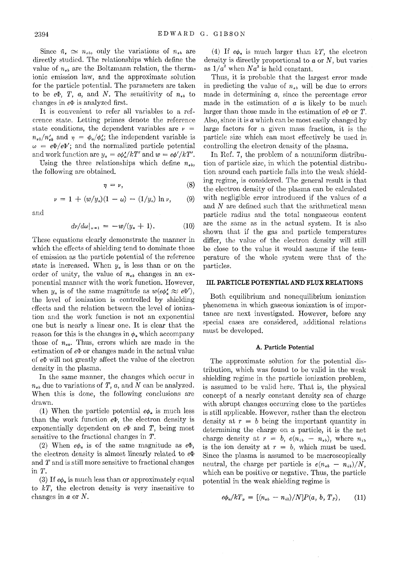Since  $\bar{n}_{\epsilon} \simeq n_{\epsilon b}$ , only the variations of  $n_{\epsilon b}$  are directly studied. The relationships which define the value of  $n_{eb}$  are the Boltzmann relation, the thermionic emission law, and the approximate solution for the particle potential. The parameters are taken to be  $e\Phi$ , *T*, *a*, and *N*. The sensitivity of  $n_{e\bar{b}}$  to changes in  $e\Phi$  is analyzed first.

It is convenient to refer all variables to a reference state. Letting primes denote the reference state conditions, the dependent variables are  $\nu =$  $n_{eb}/n'_{eb}$  and  $\eta = \phi_a/\phi'_a$ ; the independent variable is  $\omega = e\Phi/e\Phi'$ ; and the normalized particle potential and work function are  $y_a = e\phi'_a/kT'$  and  $w = e\phi'/kT'$ .

Using the three relationships which define  $n_{\epsilon b}$ , the following are obtained.

$$
\eta = \nu, \tag{8}
$$

$$
\nu = 1 + (w/y_a)(1 - \omega) - (1/y_a) \ln \nu, \qquad (9)
$$

and

$$
d\nu/d\omega|_{\omega=1} = -w/(y_a+1). \tag{10}
$$

These equations clearly demonstrate the manner in which the effects of shielding tend to dominate those of emission as the particle potential of the reference state is increased. When *Ya* is less than or on the order of unity, the value of  $n_{eb}$  changes in an exponential manner with the work function. However, when  $y_a$  is of the same magnitude as  $w(e\phi'_a \approx e\Phi')$ , the level of ionization is controlled by shielding effects and the relation between the level of ionization and the work function is not an exponential one but is nearly a linear one. It is clear that the reason for this is the changes in  $\phi_a$  which accompany those of  $n_{ea}$ . Thus, errors which are made in the estimation of  $e\Phi$  or changes made in the actual value of  $e\Phi$  will not greatly affect the value of the electron density in the plasma.

In the same manner, the changes which occur in  $n_{ab}$  due to variations of T,  $a$ , and N can be analyzed. When this is done, the following conclusions are drawn.

(1) When the particle potential  $e\phi_a$  is much less than the work function  $e\Phi$ , the electron density is exponentially dependent on  $e\Phi$  and  $T$ , being most sensitive to the fractional changes in *T.* 

(2) When  $e\phi_a$  is of the same magnitude as  $e\Phi$ , the electron density is almost linearly related to  $e\Phi$ and *T* and is still more sensitive to fractional changes in T.

(3) If  $e\phi_a$  is much less than or approximately equal to  $kT$ , the electron density is very insensitive to changes in a or N.

(4) If  $e\phi_a$  is much larger than kT, the electron density is directly proportional to  $a$  or  $N$ , but varies as  $1/a^2$  when  $Na^3$  is held constant.

Thus, it is probable that the largest error made in predicting the value of  $n_{eb}$  will be due to errors made in determining *a,* since the percentage error made in the estimation of  $a$  is likely to be much larger than those made in the estimation of  $e\Phi$  or  $T$ . Also, since it is a which can be most easily changed by large factors for a given mass fraction, it is the particle size which can most effectively be used in controlling the electron density of the plasma.

In Ref. 7, the problem of a nonuniform distribution of particle size, in which the potential distribution around each particle falls into the weak shielding regime, is considered. The general result is that the electron density of the plasma can be calculated with negligible error introduced if the values of a and N are defined such that the arithmetical mean particle radius and the total nongaseous content are the same as in the actual system. It is also shown that if the gas and particle temperatures differ, the value of the electron density will still be close to the value it would assume if the temperature of the whole system were that of the particles.

# III. **PARTICLE POTENTIAL AND FLUX RELATIONS**

Both equilibrium and nonequilibrium ionization phenomena in which gaseous ionization is of importance are next investigated. However, before any special cases are considered, additional relations must be developed.

## A. Particle Potential

The approximate solution for the potential distribution, which was found to be valid in the weak shielding regime in the particle ionization problem, is assumed to be valid here. That is, the physical concept of a nearly constant density sea of charge with abrupt changes occurring close to the particles is still applicable. However, rather than the electron density at  $r = b$  being the important quantity in determining the charge on a particle, it is the net charge density at  $r = b$ ,  $e(n_{ib} - n_{eb})$ , where  $n_{ib}$ is the ion density at  $r = b$ , which must be used. Since the plasma is assumed to be macroscopically neutral, the charge per particle is  $e(n_{eb} - n_{ib})/N$ , which can be positive or negative. Thus, the particle potential in the weak shielding regime is

$$
e\phi_a/kT_p = [(n_{eb} - n_{ib})/N]P(a, b, T_p), \qquad (11)
$$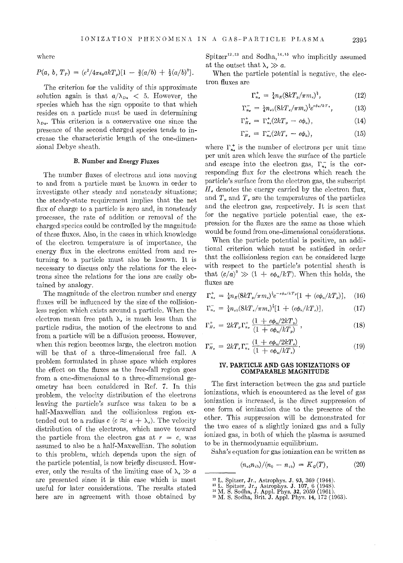where

$$
P(a, b, T_P) = (e^2/4\pi\epsilon_0 a k T_p)[1 - \frac{3}{2}(a/b) + \frac{1}{2}(a/b)^3].
$$

The criterion for the validity of this approximate solution again is that  $a/\lambda_{Da} < 5$ . However, the species which has the sign opposite to that which resides on a particle must be used in determining  $\lambda_{Da}$ . This criterion is a conservative one since the presence of the second charged species tends to increase the characteristic length of the one-dimensional Debye sheath.

### B. Number and Energy Fluxes

The number fluxes of electrons and ions moving to and from a particle must be known in order to investigate other steady and nonsteady situations; the steady-state requirement implies that the net flux of charge to a particle is zero and, in nonsteady processes, the rate of addition or removal of the charged species could be controlled by the magnitude of these fluxes. Also, in the cases in which knowledge of the electron temperature is of importance, the energy flux in the electrons emitted from and returning to a particle must also be known. It is necessary to discuss only the relations for the electrons since the relations for the ions are easily obtained by analogy.

The magnitude of the electron number and energy fluxes will be influenced by the size of the collisionless region which exists around a particle. When the electron mean free path  $\lambda_e$  is much less than the particle radius, the motion of the electrons to and from a particle will be a diffusion process. However, when this region becomes large, the electron motion will be that of a three-dimensional free fall. A problem formulated in phase space which explores the effect on the fluxes as the free-fall region goes from a one-dimensional to a three-dimensional geometry has been considered in Ref. 7. In this problem, the velocity distribution of the electrons leaving the particle's surface was taken to be a half-Maxwellian and the collisionless region extended out to a radius  $c$  ( $c \approx a + \lambda_e$ ). The velocity distribution of the electrons, which move toward the particle from the electron gas at  $r = c$ , was assumed to also be a half-Maxwellian. The solution to this problem, which depends upon the sign of the particle potential, is now briefly discussed. However, only the results of the limiting case of  $\lambda_{\epsilon} \gg a$ are presented since it is this case which is most useful for later considerations. The results stated here are in agreement with those obtained by

 $Spitzer<sup>12,13</sup>$  and  $Sodha<sup>14,15</sup>$  who implicitly assumed at the outset that  $\lambda$ ,  $\gg a$ .

When the particle potential is negative, the electron fluxes are

$$
\Gamma_{n_e}^+ = \frac{1}{4} n_E (8kT_p / \pi m_e)^{\frac{1}{2}}, \qquad (12)
$$

$$
\Gamma_{n_{\epsilon}}^{-} = \frac{1}{4} n_{\epsilon b} (8kT_{\epsilon}/\pi m_{\epsilon})^{\frac{1}{2}} e^{\epsilon \phi_{a}/k} T_{\epsilon}, \qquad (13)
$$

$$
\Gamma_{H_{e}}^{+} = \Gamma_{n_{e}}^{+} (2kT_{p} - e\phi_{a}), \qquad (14)
$$

$$
\Gamma_{H_{e}}^{-} = \Gamma_{n_{e}}^{-} (2kT_{e} - e\phi_{a}), \qquad (15)
$$

where  $\Gamma_{n}^{+}$  is the number of electrons per unit time per unit area which leave the surface of the particle and escape into the electron gas,  $\Gamma_{n_{\epsilon}}^-$  is the corresponding flux for the electrons which reach the particle's surface from the electron gas, the subscript *He* denotes the energy carried by the electron flux, and  $T_p$  and  $T_e$  are the temperatures of the particles and the electron gas, respectively. It is seen that for the negative particle potential case, the expression for the fluxes are the same as those which would be found from one-dimensional considerations.

When the particle potential is positive, an additional criterion which must be satisfied in order that the collisionless region can be considered large with respect to the particle's potential sheath is that  $(c/a)^2 \gg (1 + e\phi_a/kT)$ . When this holds, the fluxes are

$$
\Gamma_{n_e}^+ = \frac{1}{4} n_E (8kT_p / \pi m_e)^{\frac{1}{2}} e^{-\epsilon \phi_a / kT_p} [1 + (e\phi_a / kT_p)], \quad (16)
$$

$$
\Gamma_{n_{e}}^{-} = \frac{1}{4} n_{eb} (8kT_{e}/\pi m_{e})^{2} [1 + (e\phi_{a}/kT_{e})], \qquad (17)
$$

$$
\Gamma_{H_e}^+ = 2kT_p \Gamma_{n_e}^+ \frac{(1 + e\phi_a/2kT_p)}{(1 + e\phi_a/kT_p)} ,
$$
\n(18)

$$
\Gamma_{H_{\epsilon}}^{-} = 2kT_{\epsilon}\Gamma_{n_{\epsilon}}^{-} \frac{(1 + e\phi_{a}/2kT_{\epsilon})}{(1 + e\phi_{a}/kT_{\epsilon})}.
$$
\n(19)

## IV. PARTICLE AND GAS IONIZATIONS OF COMPARABLE MAGNITUDE

The first interaction between the gas and particle ionizations, which is encountered as the level of gas ionization is increased, is the direct suppression of one form of ionization due to the presence of the other. This suppression will be demonstrated for the two cases of a slightly ionized gas and a fully ionized gas, in both of which the plasma is assumed to be in thermodynamic equilibrium.

Saha's equation for gas ionization can be written as

$$
(n_{\epsilon b}n_{\epsilon b})/(n_0 - n_{\epsilon b}) = K_q(T), \qquad (20)
$$

<sup>&</sup>lt;sup>12</sup> L. Spitzer, Jr., Astrophys. J. 93, 369 (1944).<br><sup>13</sup> L. Spitzer, Jr., Astrophys. J. 107, 6 (1948).<br><sup>14</sup> M. S. Sodha, J. Appl. Phys. 32, 2059 (1961).<br><sup>15</sup> M. S. Sodha, Brit. J. Appl. Phys. 14, 172 (1963).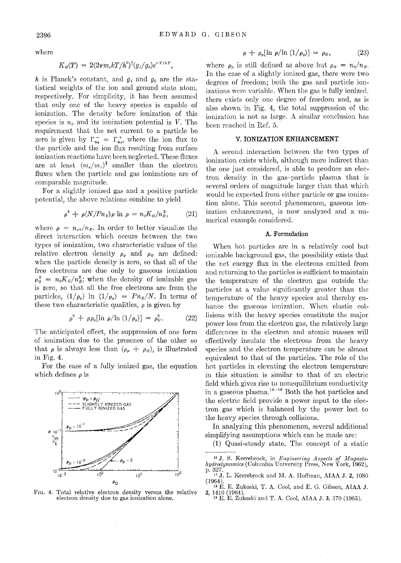where

$$
K_{\mathfrak{a}}(T) = 2(2\pi m_{\mathfrak{e}} kT/h^2)^{\frac{3}{2}}(g_i/g_0)e^{-V/kT},
$$

*h* is Planck's constant, and *gi* and *go* are the statistical weights of the ion and ground state atom, respectively. For simplicity, it has been assumed that only one of the heavy species is capable of ionization. The density before ionization of this species is  $n_0$  and its ionization potential is *V*. The requirement that the net current to a particle be zero is given by  $\Gamma_{n_e}^- = \Gamma_{n_e}^+$ , where the ion flux to the particle and the ion flux resulting from surface ionization reactions have been neglected. These fluxes are at least  $(m_e/m_i)^{\frac{1}{2}}$  smaller than the electron fluxes when the particle and gas ionizations are of comparable magnitude.

For a slightly ionized gas and a positive particle potential, the above relations combine to yield

$$
\rho^2 + \rho (N/ P n_E) \rho \ln \rho = n_0 K_G / n_E^2, \qquad (21)
$$

where  $\rho = n_{eb}/n_E$ . In order to better visualize the direct interaction which occurs between the two types of ionization, two characteristic values of the relative electron density  $\rho_p$  and  $\rho_q$  are defined: when the particle density is zero, so that all of the free electrons are due only to gaseous ionization  $\rho_{\sigma}^2 = n_0 K_g / n_E^2$ ; when the density of ionizable gas is zero, so that all the free electrons are from the particles,  $(1/\rho_p)$  ln  $(1/\rho_p) = Pn_E/N$ . In terms of these two characteristic qualities,  $\rho$  is given by

$$
\rho^2 + \rho \rho_p [\ln \rho / \ln (1/\rho_p)] = \rho_g^2. \tag{22}
$$

The anticipated effect, the suppression of one form of ionization due to the presence of the other so that  $\rho$  is always less than  $(\rho_p + \rho_q)$ , is illustrated in Fig. 4.

For the case of a fully ionized gas, the equation which defines  $\rho$  is



FIG. 4. Total relative electron density versus the relative electron density due to gas ionization alone.

$$
\rho + \rho_p [\ln \rho / \ln (1/\rho_p)] = \rho_G, \qquad (23)
$$

where  $\rho_p$  is still defined as above but  $\rho_q = n_0/n_E$ . In the case of a slightly ionized gas, there were two degrees of freedom; both the gas and particle ionizations were variable. When the gas is fully ionized, there exists only one degree of freedom and, as is also shown in Fig. 4, the total suppression of the ionization is not as large. A similar conclusion has been reached in Ref. 5.

# V. **IONIZATION ENHANCEMENT**

A second interaction between the two types of ionization exists which, although more indirect than the one just considered, is able to produce an electron density in the gas-particle plasma that is several orders of magnitude larger than that which would be expected from either particle or gas ionization alone. This second phenomenon, gaseous ionization enhancement, is now analyzed and a numerical example considered.

#### **A.** Formulation

When hot particles are in a relatively cool but ionizable background gas, the possibility exists that the net energy flux in the electrons emitted from and returning to the particles is sufficient to maintain the temperature of the electron gas outside the particles at a value significantly greater than the temperature of the heavy species and thereby enhance the gaseous ionization. When elastic collisions with the heavy species constitute the major power loss from the electron gas, the relatively large differences in the electron and atomic masses will effectively insulate the electrons from the heavy 9pecies and the electron temperature can be almost equivalent to that of the particles. The role of the hot particles in elevating the electron temperature in this situation is similar to that of an electric field which gives rise to nonequilibrium conductivity in a gaseous plasma. $16 - 19$  Both the hot particles and the electric field provide a power input to the electron gas which is balanced by the power lost to the heavy species through collisions.

In analyzing this phenomenon, several additional simplifying assumptions which can be made are:

(1) Quasi-steady state. The concept of a static

<sup>&</sup>lt;sup>16</sup> J. S. Kerrebrock, in *Engineering Aspects of Magnetohydrodynamics* (Columbia University Press, New York, 1962),  $p.327.$  17 J. L. Kerrebrock and M. A. Hoffman, AIAA J. 2, 1080

<sup>(1964). 18</sup> E. E. Zukoski, T. A. Cool, and E. G. Gibson, AIAA J.

 $1410$  (1964).  $^{19}$  E. E. Zukoski and T. A. Cool, AIAA J. 3, 370 (1965).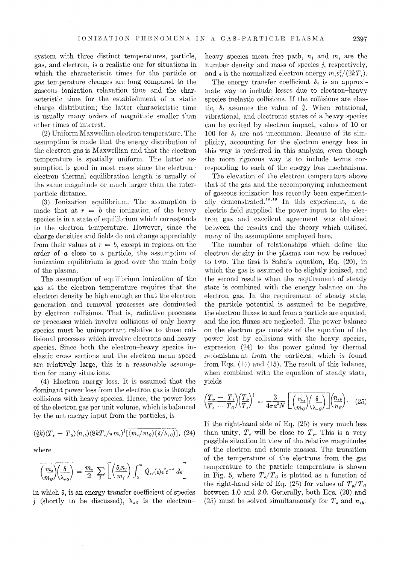system with three distinct temperatures, particle, gas, and electron, is a realistic one for situations in which the characteristic times for the particle or gas temperature changes arc long compared to the gaseous ionization relaxation time and the characteristic time for the establishment of a static charge distribution; the latter characteristic time is usually many orders of magnitude smaller than other times of interest.

(2) Uniform Maxwellian electron temperature. The assumption is made that the energy distribution of the electron gas is Maxwellian and that the electron temperature is spatially uniform. The latter assumption is good in most cases since the electronelectron thermal equilibration length is usually of the same magnitude or much larger than the interparticle distance.

(3) Ionization equilibrium. The assumption is made that at  $r = b$  the ionization of the heavy species is in a state of equilibrium which corresponds to the electron temperature. However, since the charge densities and fields do not change appreciably from their values at  $r = b$ , except in regions on the order of a close to a particle, the assumption of ionization equilibrium is good over the main body of the plasma.

The assumption of equilibrium ionization of the gas at the electron temperature requires that the electron density be high enough so that the electron generation and removal processes are dominated by electron collisions. That is, radiative processes or processes which involve collisions of only heavy species must be unimportant relative to those collisional processes which involve electrons and heavy species. Since both the electron-heavy species inelastic cross sections and the electron mean speed are relatively large, this is a reasonable assumption for many situations.

(4) Electron energy loss. It is assumed that the dominant power loss from the electron gas is through collisions with heavy species. Hence, the power loss of the electron gas per unit volume, which is balanced by the net energy input from the particles, is

$$
\left(\frac{3}{2}k\right)(T_{\epsilon}-T_{\mathcal{G}})(n_{\epsilon b})(8kT_{\epsilon}/\pi m_{\epsilon})^{\frac{1}{2}}\left[\overline{(m_{\epsilon}/m_{\mathcal{G}})(\delta/\lambda_{\epsilon \mathcal{G}})}\right], (24)
$$

where

$$
\overline{\left(\frac{m_{\epsilon}}{m_{\sigma}}\right)}\left(\frac{\delta}{\lambda_{\epsilon\sigma}}\right) = \frac{m_{\epsilon}}{2} \sum_{i} \left[ \left(\frac{\delta_{i}n_{i}}{m_{i}}\right) \int_{0}^{\infty} Q_{\epsilon i}(\epsilon) \epsilon^{2} e^{-\epsilon} d\epsilon \right]
$$

in which  $\delta_i$  is an energy transfer coefficient of species j (shortly to be discussed),  $\lambda_{\epsilon G}$  is the electronheavy species mean free path,  $n_i$  and  $m_i$  are the number density and mass of species  $j$ , respectively, and  $\epsilon$  is the normalized electron energy  $m_e v_s^2/(2kT_e)$ .

The energy transfer coefficient  $\delta_i$  is an approximate way to include losses due to electron-heavy species inelastic collisions. If the collisions are elastic,  $\delta_i$  assumes the value of  $\frac{8}{3}$ . When rotational, vibrational, and electronic states of a heavy species can *be* excited by electron impact, values of 10 or 100 for  $\delta_i$  are not uncommon. Because of its simplicity, accounting for the electron energy loss in this way is preferred in this analysis, even though the more rigorous way is to include terms corresponding to each of the energy loss mechanisms.

The elevation of the electron temperature above that of the gas and the accompanying enhancement of gaseous ionization has recently been experimentally demonstrated.<sup>18,19</sup> In this experiment, a dc electric field supplied the power input to the electron gas and excellent agreement was obtained between the results and the theory which utilized many of the assumptions employed here.

The number of relationships which define the electron density in the plasma can now *be* reduced to two. The first is Saha's equation, Eq.  $(20)$ , in which the gas is assumed to be slightly ionized, and the second results when the requirement of steady state is combined with the energy balance on the electron gas. In the requirement of steady state, the particle potential is assumed to be negative, the electron fluxes to and from a particle are equated, and the ion fluxes are neglected. The power balance on the electron gas consists of the equation of the power lost by collisions with the heavy species, expression (24) to the power gained by thermal replenishment from the particles, which is found from Eqs. (14) and (15). The result of this balance, when combined with the equation of steady state, yields

$$
\left(\frac{T_p - T_e}{T_e - T_o}\right)\left(\frac{T_p}{T_e}\right)^{\frac{1}{2}} = \frac{3}{4\pi a^2 N} \left[ \left(\frac{m_e}{m_g}\right)\left(\frac{\delta}{\lambda_{e\sigma}}\right) \right] \left(\frac{n_{e\delta}}{n_{E}}\right). \quad (25)
$$

If the right-hand side of Eq. (25) is very much less than unity,  $T_e$  will be close to  $T_p$ . This is a very possible situation in view of the relative magnitudes of the electron and atomic masses. The transition of the temperature of the electrons from the gas temperature to the particle temperature is shown in Fig. 5, where  $T_e/T_g$  is plotted as a function of the right-hand side of Eq. (25) for values of  $T_p/T_g$ between 1.0 and 2.0. Generally, both Eqs. (20) and (25) must be solved simultaneously for  $T_e$  and  $n_{ab}$ .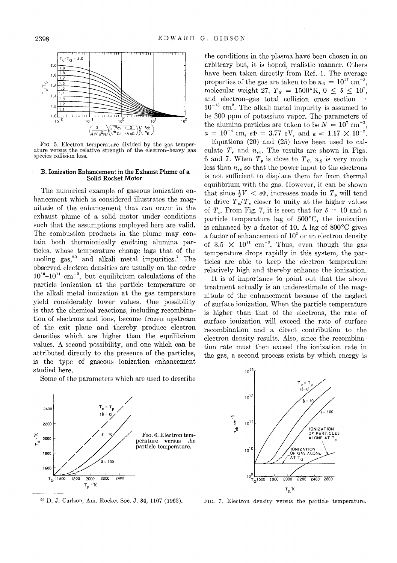

FIG. 5. Electron temperature divided by the gas temperature versus the relative strength of the electron-heavy gas species collision loss.

# B. Ionization Enhancement in the Exhaust Plume of a Solid Rocket Motor

The numerical example of gaseous ionization enhancement which is considered illustrates the magnitude of the enhancement that can occur in the exhaust plume of a solid motor under conditions such that the assumptions employed here are valid. The combustion products in the plume may contain both thermionically emitting alumina particles, whose temperature change lags that of the cooling  $\text{gas}^{20}$  and alkali metal impurities.<sup>1</sup> The observed electron densities are usually on the order  $10^{10}-10^{11}$  cm<sup>-3</sup>, but equilibrium calculations of the particle ionization at the particle temperature or the alkali metal ionization at the gas temperature yield considerably lower values. One possibility is that the chemical reactions, including recombination of electrons and ions, become frozen upstream of the exit plane and thereby produce electron densities which are higher than the equilibrium values. A second possibility, and one which can be attributed directly to the presence of the particles, is the type of gaseous ionization enhancement studied here.

Some of the parameters which are used to describe



20 D. J. Carlson, Am. Rocket Soc. J. 34, 1107 (1963).

the conditions in the plasma have' been chosen in an arbitrary but, it is hoped, realistic manner. Others have been taken directly from Ref. 1. The average properties of the gas are taken to be  $n_a = 10^{17}$  cm<sup>-3</sup>, molecular weight 27,  $T_a = 1500\textdegree\text{K}$ ,  $0 \leq \delta \leq 10^2$ , and electron-gas total collision cross section =  $10^{-15}$  cm<sup>2</sup>. The alkali metal impurity is assumed to be 300 ppm of potassium vapor. The parameters of the alumina particles are taken to be  $N = 10^7$  cm<sup>-3</sup>,  $a = 10^{-4}$  cm,  $e\Phi = 3.77$  eV, and  $\kappa = 1.17 \times 10^{-2}$ .

Equations (20) and (25) have been used to calculate  $T_e$  and  $n_{eb}$ . The results are shown in Figs. 6 and 7. When  $T_p$  is close to  $T_q$ ,  $n_E$  is very much less than  $n_{eb}$  so that the power input to the electrons is not sufficient to displace them far from thermal equilibrium with the gas. However, it can be shown that since  $\frac{1}{2}V < e\Phi$ , increases made in  $T_p$  will tend to drive  $T_p/T_e$  closer to unity at the higher values of  $T_p$ . From Fig. 7, it is seen that for  $\delta = 10$  and a particle temperature lag of 500°C, the ionization is enhanced by a factor of 10. A lag of 800°C gives a factor of enhancement of  $10<sup>2</sup>$  or an electron density of 3.5  $\times$  10<sup>11</sup> cm<sup>-3</sup>. Thus, even though the gas temperature drops rapidly in this system, the particles are able to keep the electron temperature relatively high and thereby enhance the ionization.

It is of importance to point out that the above treatment actually is an underestimate of the magnitude of the enhancement because of the neglect of surface ionization. When the particle temperature is higher than that of the electrons, the rate of surface ionization will exceed the rate of surface recombination and a direct contribution to the electron density results. Also, since the recombination rate must then exceed the ionization rate in the gas, a second process exists by which energy is



FIG. 7. Electron density versus the particle temperature.